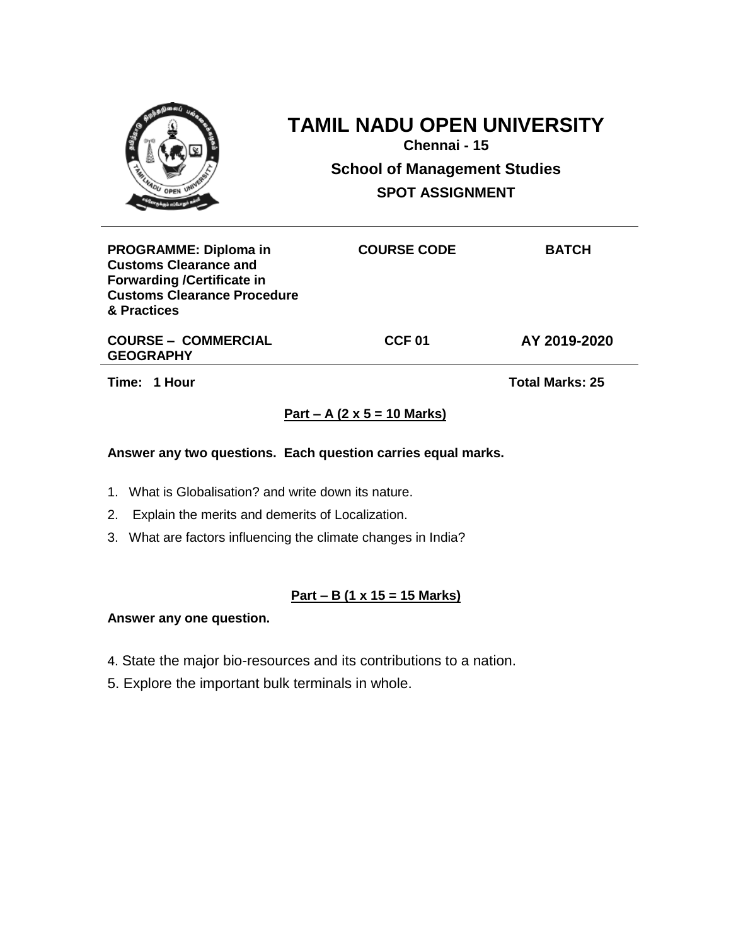| OPEN UM                                                                                                                                                | Chennai - 15       | <b>TAMIL NADU OPEN UNIVERSITY</b><br><b>School of Management Studies</b><br><b>SPOT ASSIGNMENT</b> |  |
|--------------------------------------------------------------------------------------------------------------------------------------------------------|--------------------|----------------------------------------------------------------------------------------------------|--|
| <b>PROGRAMME: Diploma in</b><br><b>Customs Clearance and</b><br><b>Forwarding /Certificate in</b><br><b>Customs Clearance Procedure</b><br>& Practices | <b>COURSE CODE</b> | <b>BATCH</b>                                                                                       |  |

**COURSE – COMMERCIAL GEOGRAPHY**

**CCF 01 AY 2019-2020**

**Time: 1 Hour Total Marks: 25** 

# **Part – A (2 x 5 = 10 Marks)**

### **Answer any two questions. Each question carries equal marks.**

- 1. What is Globalisation? and write down its nature.
- 2. Explain the merits and demerits of Localization.
- 3. What are factors influencing the climate changes in India?

## **Part – B (1 x 15 = 15 Marks)**

- 4. State the major bio-resources and its contributions to a nation.
- 5. Explore the important bulk terminals in whole.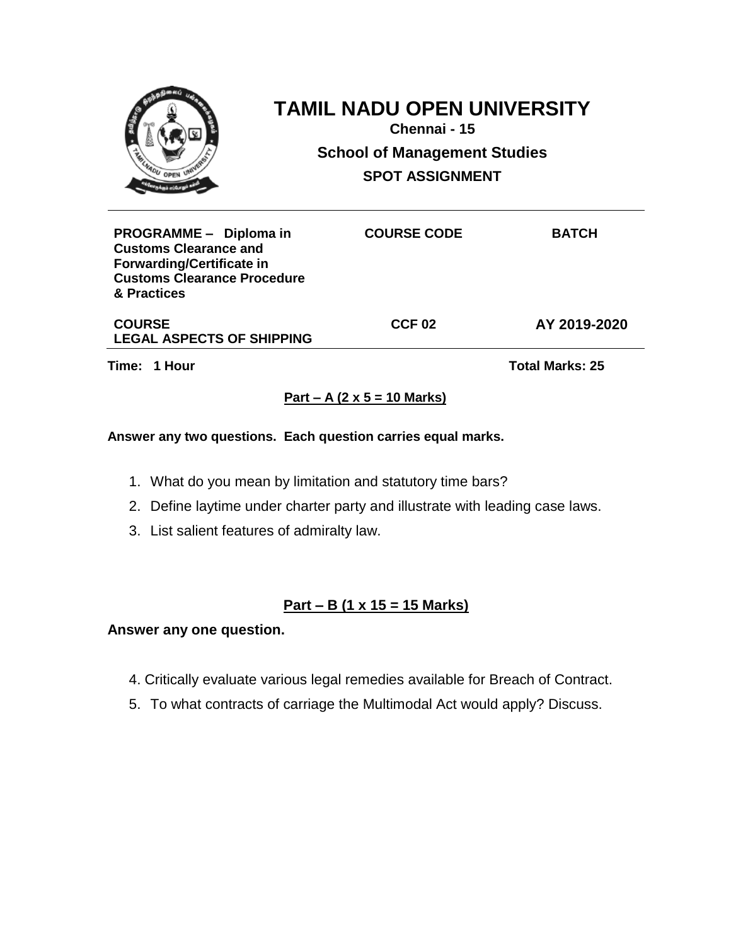| OPEN UN                                                | <b>TAMIL NADU OPEN UNIVERSITY</b><br>Chennai - 15             |              |
|--------------------------------------------------------|---------------------------------------------------------------|--------------|
|                                                        | <b>School of Management Studies</b><br><b>SPOT ASSIGNMENT</b> |              |
| PROGRAMME - Diploma in<br><b>Customs Clearance and</b> | <b>COURSE CODE</b>                                            | <b>BATCH</b> |

**Forwarding/Certificate in Customs Clearance Procedure & Practices**

**LEGAL ASPECTS OF SHIPPING**

**CCF 02 AY 2019-2020**

**COURSE** 

**Time: 1 Hour Total Marks: 25** 

## **Part – A (2 x 5 = 10 Marks)**

## **Answer any two questions. Each question carries equal marks.**

- 1. What do you mean by limitation and statutory time bars?
- 2. Define laytime under charter party and illustrate with leading case laws.
- 3. List salient features of admiralty law.

# **Part – B (1 x 15 = 15 Marks)**

- 4. Critically evaluate various legal remedies available for Breach of Contract.
- 5. To what contracts of carriage the Multimodal Act would apply? Discuss.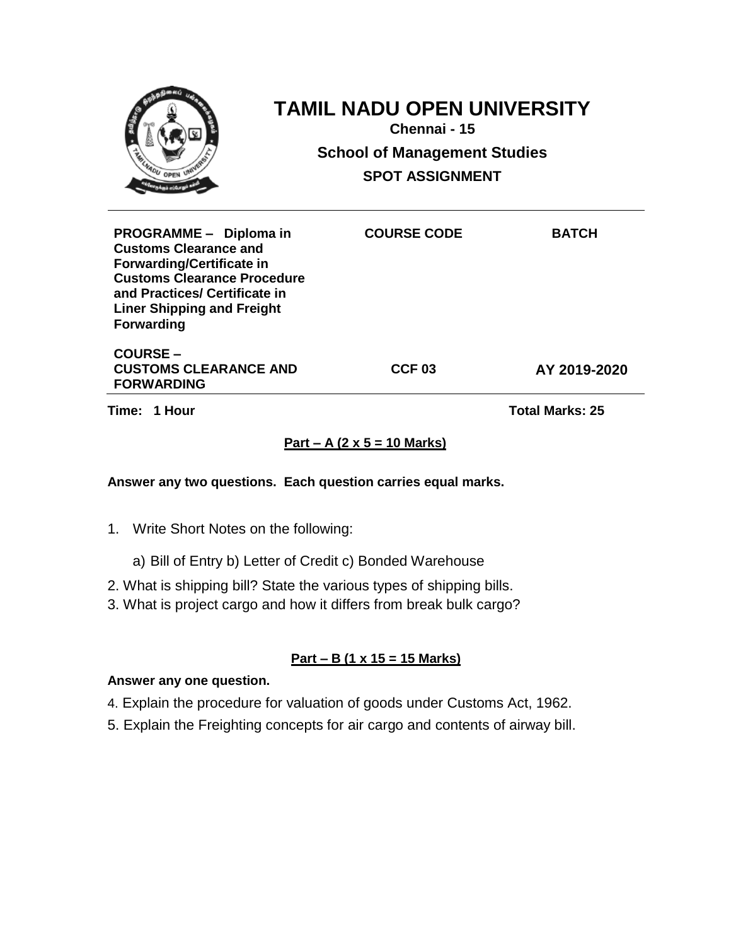| <b>ADU OPEN UNIT</b>                                                                                                                                                                                                        | <b>TAMIL NADU OPEN UNIVERSITY</b><br>Chennai - 15<br><b>School of Management Studies</b><br><b>SPOT ASSIGNMENT</b> |              |
|-----------------------------------------------------------------------------------------------------------------------------------------------------------------------------------------------------------------------------|--------------------------------------------------------------------------------------------------------------------|--------------|
| PROGRAMME - Diploma in<br><b>Customs Clearance and</b><br><b>Forwarding/Certificate in</b><br><b>Customs Clearance Procedure</b><br>and Practices/ Certificate in<br><b>Liner Shipping and Freight</b><br><b>Forwarding</b> | <b>COURSE CODE</b>                                                                                                 | <b>BATCH</b> |
| <b>COURSE-</b><br><b>CUSTOMS CLEARANCE AND</b><br><b>FORWARDING</b>                                                                                                                                                         | CCF <sub>03</sub>                                                                                                  | AY 2019-2020 |

**Time: 1 Hour Total Marks: 25** 

## **Part – A (2 x 5 = 10 Marks)**

### **Answer any two questions. Each question carries equal marks.**

- 1. Write Short Notes on the following:
	- a) Bill of Entry b) Letter of Credit c) Bonded Warehouse
- 2. What is shipping bill? State the various types of shipping bills.
- 3. What is project cargo and how it differs from break bulk cargo?

### **Part – B (1 x 15 = 15 Marks)**

- 4. Explain the procedure for valuation of goods under Customs Act, 1962.
- 5. Explain the Freighting concepts for air cargo and contents of airway bill.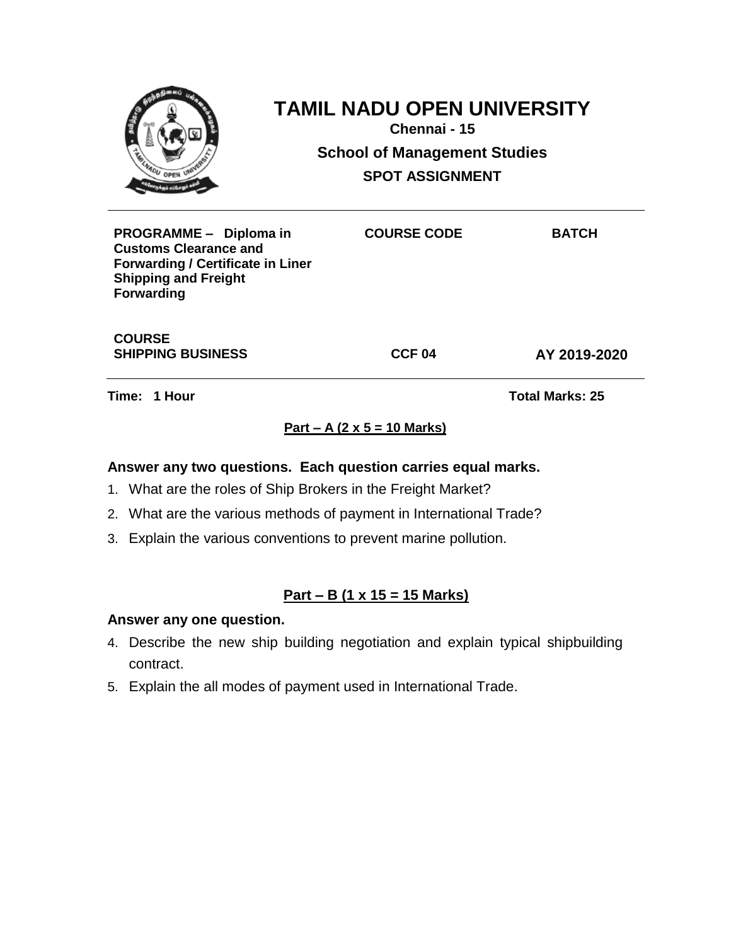| OPEN UNIV                                                                                                                                              | <b>TAMIL NADU OPEN UNIVERSITY</b><br>Chennai - 15<br><b>School of Management Studies</b><br><b>SPOT ASSIGNMENT</b> |              |  |
|--------------------------------------------------------------------------------------------------------------------------------------------------------|--------------------------------------------------------------------------------------------------------------------|--------------|--|
| PROGRAMME - Diploma in<br><b>Customs Clearance and</b><br><b>Forwarding / Certificate in Liner</b><br><b>Shipping and Freight</b><br><b>Forwarding</b> | <b>COURSE CODE</b>                                                                                                 | <b>BATCH</b> |  |

**COURSE SHIPPING BUSINESS CCF 04 AY 2019-2020**

**Time: 1 Hour Total Marks: 25**

# **Part – A (2 x 5 = 10 Marks)**

### **Answer any two questions. Each question carries equal marks.**

- 1. What are the roles of Ship Brokers in the Freight Market?
- 2. What are the various methods of payment in International Trade?
- 3. Explain the various conventions to prevent marine pollution.

## **Part – B (1 x 15 = 15 Marks)**

- 4. Describe the new ship building negotiation and explain typical shipbuilding contract.
- 5. Explain the all modes of payment used in International Trade.